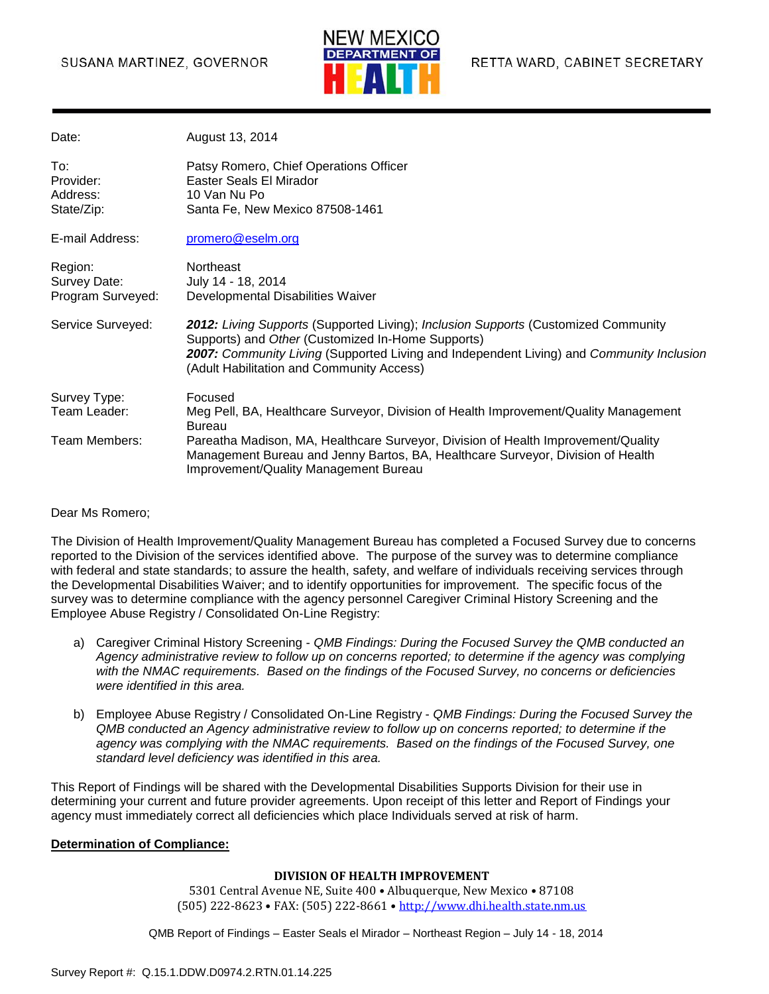#### SUSANA MARTINEZ, GOVERNOR



| Date:                                        | August 13, 2014                                                                                                                                                                                                                                                                  |
|----------------------------------------------|----------------------------------------------------------------------------------------------------------------------------------------------------------------------------------------------------------------------------------------------------------------------------------|
| To:<br>Provider:<br>Address:<br>State/Zip:   | Patsy Romero, Chief Operations Officer<br>Easter Seals El Mirador<br>10 Van Nu Po<br>Santa Fe, New Mexico 87508-1461                                                                                                                                                             |
| E-mail Address:                              | promero@eselm.org                                                                                                                                                                                                                                                                |
| Region:<br>Survey Date:<br>Program Surveyed: | Northeast<br>July 14 - 18, 2014<br>Developmental Disabilities Waiver                                                                                                                                                                                                             |
| Service Surveyed:                            | 2012: Living Supports (Supported Living); Inclusion Supports (Customized Community<br>Supports) and Other (Customized In-Home Supports)<br>2007: Community Living (Supported Living and Independent Living) and Community Inclusion<br>(Adult Habilitation and Community Access) |
| Survey Type:                                 | Focused                                                                                                                                                                                                                                                                          |
| Team Leader:                                 | Meg Pell, BA, Healthcare Surveyor, Division of Health Improvement/Quality Management<br><b>Bureau</b>                                                                                                                                                                            |
| Team Members:                                | Pareatha Madison, MA, Healthcare Surveyor, Division of Health Improvement/Quality<br>Management Bureau and Jenny Bartos, BA, Healthcare Surveyor, Division of Health<br>Improvement/Quality Management Bureau                                                                    |

#### Dear Ms Romero;

The Division of Health Improvement/Quality Management Bureau has completed a Focused Survey due to concerns reported to the Division of the services identified above. The purpose of the survey was to determine compliance with federal and state standards; to assure the health, safety, and welfare of individuals receiving services through the Developmental Disabilities Waiver; and to identify opportunities for improvement. The specific focus of the survey was to determine compliance with the agency personnel Caregiver Criminal History Screening and the Employee Abuse Registry / Consolidated On-Line Registry:

- a) Caregiver Criminal History Screening *QMB Findings: During the Focused Survey the QMB conducted an Agency administrative review to follow up on concerns reported; to determine if the agency was complying with the NMAC requirements. Based on the findings of the Focused Survey, no concerns or deficiencies were identified in this area.*
- b) Employee Abuse Registry / Consolidated On-Line Registry *QMB Findings: During the Focused Survey the QMB conducted an Agency administrative review to follow up on concerns reported; to determine if the*  agency was complying with the NMAC requirements. Based on the findings of the Focused Survey, one *standard level deficiency was identified in this area.*

This Report of Findings will be shared with the Developmental Disabilities Supports Division for their use in determining your current and future provider agreements. Upon receipt of this letter and Report of Findings your agency must immediately correct all deficiencies which place Individuals served at risk of harm.

#### **Determination of Compliance:**

#### **DIVISION OF HEALTH IMPROVEMENT**

5301 Central Avenue NE, Suite 400 • Albuquerque, New Mexico • 87108 (505) 222-8623 • FAX: (505) 222-8661 • [http://www.dhi.health.state.nm.us](http://www.dhi.health.state.nm.us/)

QMB Report of Findings – Easter Seals el Mirador – Northeast Region – July 14 - 18, 2014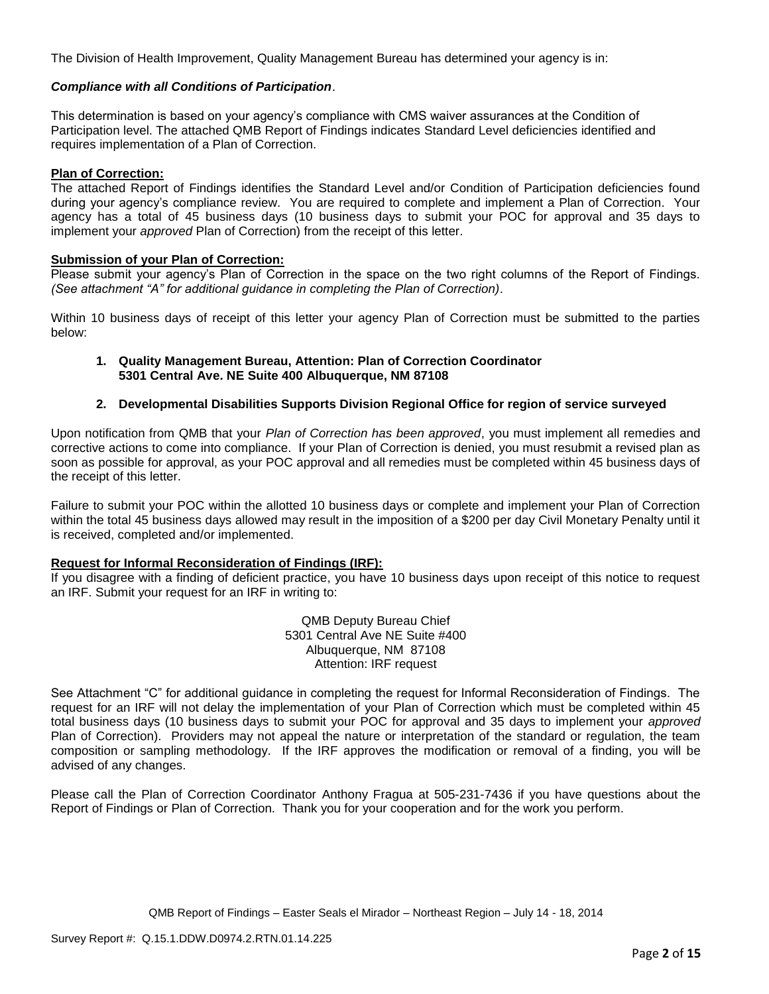The Division of Health Improvement, Quality Management Bureau has determined your agency is in:

#### *Compliance with all Conditions of Participation*.

This determination is based on your agency's compliance with CMS waiver assurances at the Condition of Participation level. The attached QMB Report of Findings indicates Standard Level deficiencies identified and requires implementation of a Plan of Correction.

#### **Plan of Correction:**

The attached Report of Findings identifies the Standard Level and/or Condition of Participation deficiencies found during your agency's compliance review. You are required to complete and implement a Plan of Correction. Your agency has a total of 45 business days (10 business days to submit your POC for approval and 35 days to implement your *approved* Plan of Correction) from the receipt of this letter.

#### **Submission of your Plan of Correction:**

Please submit your agency's Plan of Correction in the space on the two right columns of the Report of Findings. *(See attachment "A" for additional guidance in completing the Plan of Correction)*.

Within 10 business days of receipt of this letter your agency Plan of Correction must be submitted to the parties below:

#### **1. Quality Management Bureau, Attention: Plan of Correction Coordinator 5301 Central Ave. NE Suite 400 Albuquerque, NM 87108**

#### **2. Developmental Disabilities Supports Division Regional Office for region of service surveyed**

Upon notification from QMB that your *Plan of Correction has been approved*, you must implement all remedies and corrective actions to come into compliance. If your Plan of Correction is denied, you must resubmit a revised plan as soon as possible for approval, as your POC approval and all remedies must be completed within 45 business days of the receipt of this letter.

Failure to submit your POC within the allotted 10 business days or complete and implement your Plan of Correction within the total 45 business days allowed may result in the imposition of a \$200 per day Civil Monetary Penalty until it is received, completed and/or implemented.

#### **Request for Informal Reconsideration of Findings (IRF):**

If you disagree with a finding of deficient practice, you have 10 business days upon receipt of this notice to request an IRF. Submit your request for an IRF in writing to:

> QMB Deputy Bureau Chief 5301 Central Ave NE Suite #400 Albuquerque, NM 87108 Attention: IRF request

See Attachment "C" for additional guidance in completing the request for Informal Reconsideration of Findings. The request for an IRF will not delay the implementation of your Plan of Correction which must be completed within 45 total business days (10 business days to submit your POC for approval and 35 days to implement your *approved* Plan of Correction). Providers may not appeal the nature or interpretation of the standard or regulation, the team composition or sampling methodology. If the IRF approves the modification or removal of a finding, you will be advised of any changes.

Please call the Plan of Correction Coordinator Anthony Fragua at 505-231-7436 if you have questions about the Report of Findings or Plan of Correction. Thank you for your cooperation and for the work you perform.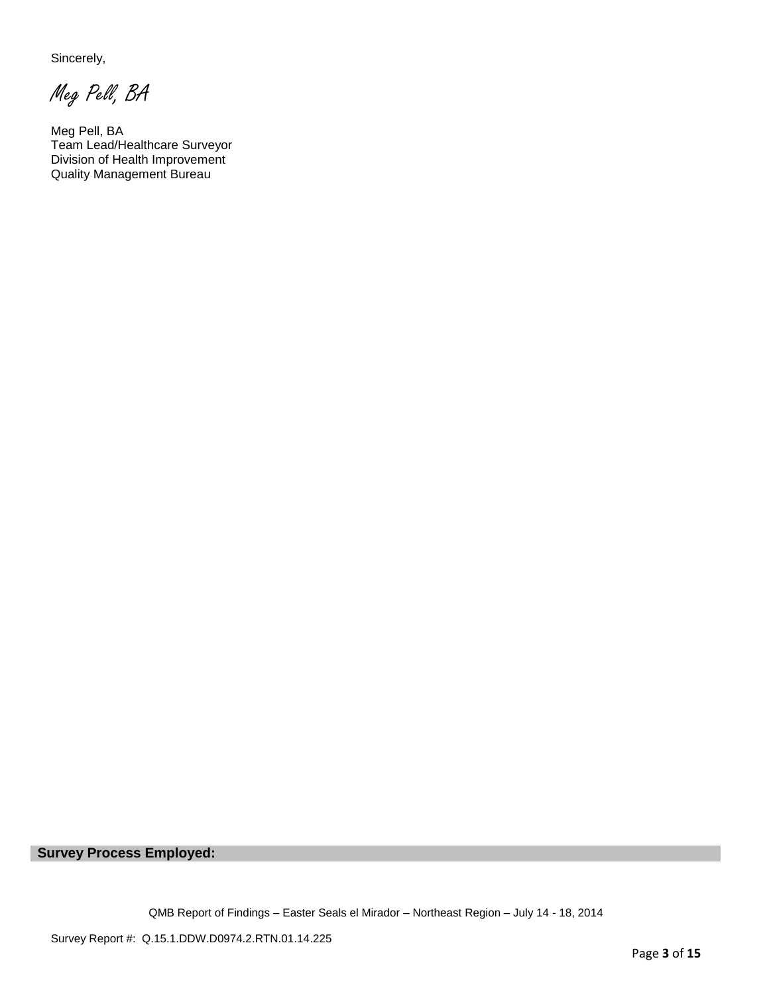Sincerely,

Meg Pell, BA

Meg Pell, BA Team Lead/Healthcare Surveyor Division of Health Improvement Quality Management Bureau

**Survey Process Employed:** 

QMB Report of Findings – Easter Seals el Mirador – Northeast Region – July 14 - 18, 2014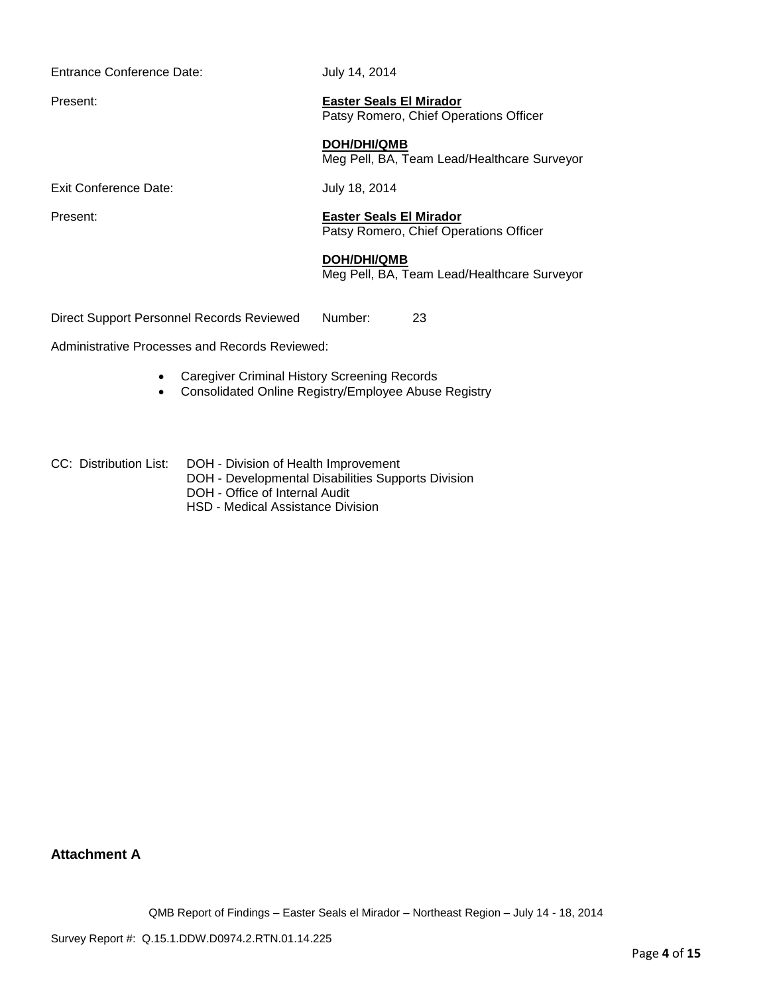Entrance Conference Date: July 14, 2014

Present: **Easter Seals El Mirador** Patsy Romero, Chief Operations Officer

> **DOH/DHI/QMB** Meg Pell, BA, Team Lead/Healthcare Surveyor

Exit Conference Date: July 18, 2014

Present: **Easter Seals El Mirador** Patsy Romero, Chief Operations Officer

#### **DOH/DHI/QMB**

Meg Pell, BA, Team Lead/Healthcare Surveyor

Direct Support Personnel Records Reviewed Number: 23

Administrative Processes and Records Reviewed:

- Caregiver Criminal History Screening Records
- Consolidated Online Registry/Employee Abuse Registry
- CC: Distribution List: DOH Division of Health Improvement
	- DOH Developmental Disabilities Supports Division
	- DOH Office of Internal Audit
	- HSD Medical Assistance Division

**Attachment A**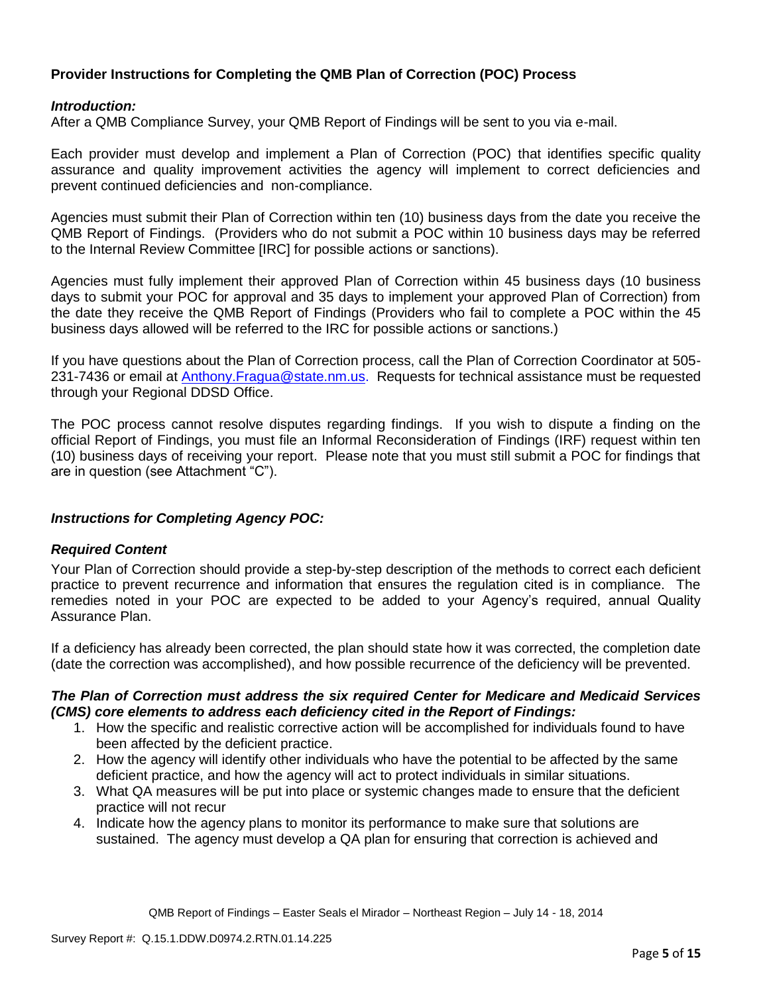## **Provider Instructions for Completing the QMB Plan of Correction (POC) Process**

### *Introduction:*

After a QMB Compliance Survey, your QMB Report of Findings will be sent to you via e-mail.

Each provider must develop and implement a Plan of Correction (POC) that identifies specific quality assurance and quality improvement activities the agency will implement to correct deficiencies and prevent continued deficiencies and non-compliance.

Agencies must submit their Plan of Correction within ten (10) business days from the date you receive the QMB Report of Findings. (Providers who do not submit a POC within 10 business days may be referred to the Internal Review Committee [IRC] for possible actions or sanctions).

Agencies must fully implement their approved Plan of Correction within 45 business days (10 business days to submit your POC for approval and 35 days to implement your approved Plan of Correction) from the date they receive the QMB Report of Findings (Providers who fail to complete a POC within the 45 business days allowed will be referred to the IRC for possible actions or sanctions.)

If you have questions about the Plan of Correction process, call the Plan of Correction Coordinator at 505- 231-7436 or email at Anthony. Fragua@state.nm.us. Requests for technical assistance must be requested through your Regional DDSD Office.

The POC process cannot resolve disputes regarding findings. If you wish to dispute a finding on the official Report of Findings, you must file an Informal Reconsideration of Findings (IRF) request within ten (10) business days of receiving your report. Please note that you must still submit a POC for findings that are in question (see Attachment "C").

## *Instructions for Completing Agency POC:*

#### *Required Content*

Your Plan of Correction should provide a step-by-step description of the methods to correct each deficient practice to prevent recurrence and information that ensures the regulation cited is in compliance. The remedies noted in your POC are expected to be added to your Agency's required, annual Quality Assurance Plan.

If a deficiency has already been corrected, the plan should state how it was corrected, the completion date (date the correction was accomplished), and how possible recurrence of the deficiency will be prevented.

### *The Plan of Correction must address the six required Center for Medicare and Medicaid Services (CMS) core elements to address each deficiency cited in the Report of Findings:*

- 1. How the specific and realistic corrective action will be accomplished for individuals found to have been affected by the deficient practice.
- 2. How the agency will identify other individuals who have the potential to be affected by the same deficient practice, and how the agency will act to protect individuals in similar situations.
- 3. What QA measures will be put into place or systemic changes made to ensure that the deficient practice will not recur
- 4. Indicate how the agency plans to monitor its performance to make sure that solutions are sustained. The agency must develop a QA plan for ensuring that correction is achieved and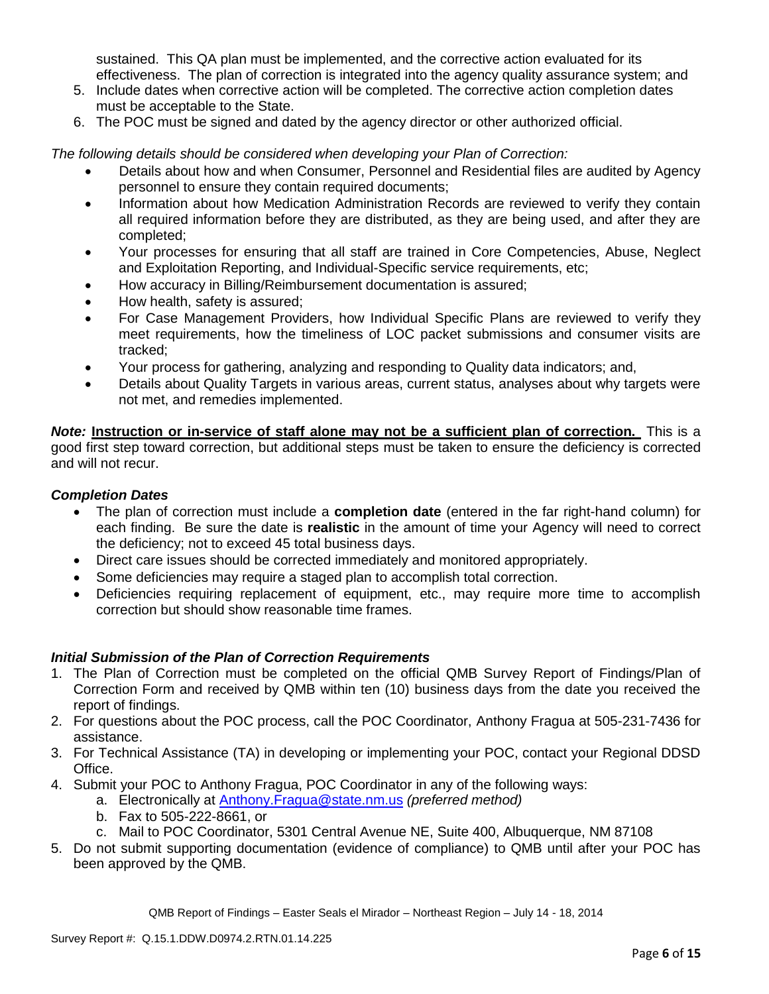sustained. This QA plan must be implemented, and the corrective action evaluated for its effectiveness. The plan of correction is integrated into the agency quality assurance system; and

- 5. Include dates when corrective action will be completed. The corrective action completion dates must be acceptable to the State.
- 6. The POC must be signed and dated by the agency director or other authorized official.

*The following details should be considered when developing your Plan of Correction:*

- Details about how and when Consumer, Personnel and Residential files are audited by Agency personnel to ensure they contain required documents;
- Information about how Medication Administration Records are reviewed to verify they contain all required information before they are distributed, as they are being used, and after they are completed;
- Your processes for ensuring that all staff are trained in Core Competencies, Abuse, Neglect and Exploitation Reporting, and Individual-Specific service requirements, etc;
- How accuracy in Billing/Reimbursement documentation is assured;
- How health, safety is assured;
- For Case Management Providers, how Individual Specific Plans are reviewed to verify they meet requirements, how the timeliness of LOC packet submissions and consumer visits are tracked;
- Your process for gathering, analyzing and responding to Quality data indicators; and,
- Details about Quality Targets in various areas, current status, analyses about why targets were not met, and remedies implemented.

*Note:* **Instruction or in-service of staff alone may not be a sufficient plan of correction.** This is a good first step toward correction, but additional steps must be taken to ensure the deficiency is corrected and will not recur.

## *Completion Dates*

- The plan of correction must include a **completion date** (entered in the far right-hand column) for each finding. Be sure the date is **realistic** in the amount of time your Agency will need to correct the deficiency; not to exceed 45 total business days.
- Direct care issues should be corrected immediately and monitored appropriately.
- Some deficiencies may require a staged plan to accomplish total correction.
- Deficiencies requiring replacement of equipment, etc., may require more time to accomplish correction but should show reasonable time frames.

## *Initial Submission of the Plan of Correction Requirements*

- 1. The Plan of Correction must be completed on the official QMB Survey Report of Findings/Plan of Correction Form and received by QMB within ten (10) business days from the date you received the report of findings.
- 2. For questions about the POC process, call the POC Coordinator, Anthony Fragua at 505-231-7436 for assistance.
- 3. For Technical Assistance (TA) in developing or implementing your POC, contact your Regional DDSD Office.
- 4. Submit your POC to Anthony Fragua, POC Coordinator in any of the following ways:
	- a. Electronically at Anthony.Fragua@state.nm.us *(preferred method)*
		- b. Fax to 505-222-8661, or
		- c. Mail to POC Coordinator, 5301 Central Avenue NE, Suite 400, Albuquerque, NM 87108
- 5. Do not submit supporting documentation (evidence of compliance) to QMB until after your POC has been approved by the QMB.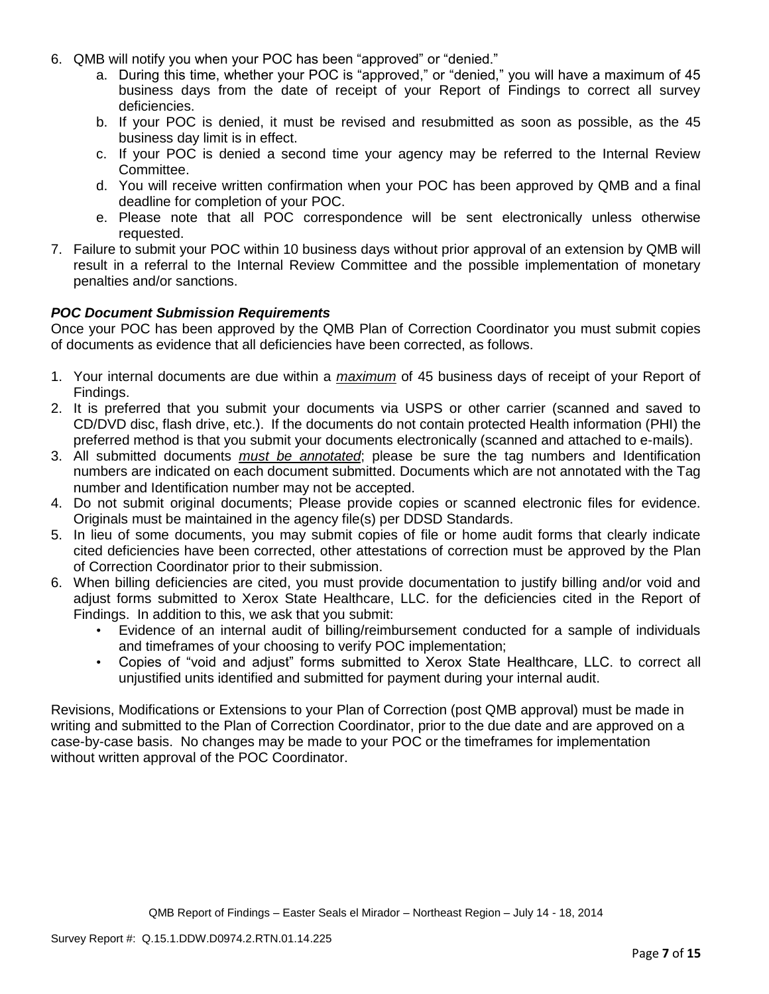- 6. QMB will notify you when your POC has been "approved" or "denied."
	- a. During this time, whether your POC is "approved," or "denied," you will have a maximum of 45 business days from the date of receipt of your Report of Findings to correct all survey deficiencies.
	- b. If your POC is denied, it must be revised and resubmitted as soon as possible, as the 45 business day limit is in effect.
	- c. If your POC is denied a second time your agency may be referred to the Internal Review Committee.
	- d. You will receive written confirmation when your POC has been approved by QMB and a final deadline for completion of your POC.
	- e. Please note that all POC correspondence will be sent electronically unless otherwise requested.
- 7. Failure to submit your POC within 10 business days without prior approval of an extension by QMB will result in a referral to the Internal Review Committee and the possible implementation of monetary penalties and/or sanctions.

## *POC Document Submission Requirements*

Once your POC has been approved by the QMB Plan of Correction Coordinator you must submit copies of documents as evidence that all deficiencies have been corrected, as follows.

- 1. Your internal documents are due within a *maximum* of 45 business days of receipt of your Report of Findings.
- 2. It is preferred that you submit your documents via USPS or other carrier (scanned and saved to CD/DVD disc, flash drive, etc.). If the documents do not contain protected Health information (PHI) the preferred method is that you submit your documents electronically (scanned and attached to e-mails).
- 3. All submitted documents *must be annotated*; please be sure the tag numbers and Identification numbers are indicated on each document submitted. Documents which are not annotated with the Tag number and Identification number may not be accepted.
- 4. Do not submit original documents; Please provide copies or scanned electronic files for evidence. Originals must be maintained in the agency file(s) per DDSD Standards.
- 5. In lieu of some documents, you may submit copies of file or home audit forms that clearly indicate cited deficiencies have been corrected, other attestations of correction must be approved by the Plan of Correction Coordinator prior to their submission.
- 6. When billing deficiencies are cited, you must provide documentation to justify billing and/or void and adjust forms submitted to Xerox State Healthcare, LLC. for the deficiencies cited in the Report of Findings. In addition to this, we ask that you submit:
	- Evidence of an internal audit of billing/reimbursement conducted for a sample of individuals and timeframes of your choosing to verify POC implementation;
	- Copies of "void and adjust" forms submitted to Xerox State Healthcare, LLC. to correct all unjustified units identified and submitted for payment during your internal audit.

Revisions, Modifications or Extensions to your Plan of Correction (post QMB approval) must be made in writing and submitted to the Plan of Correction Coordinator, prior to the due date and are approved on a case-by-case basis. No changes may be made to your POC or the timeframes for implementation without written approval of the POC Coordinator.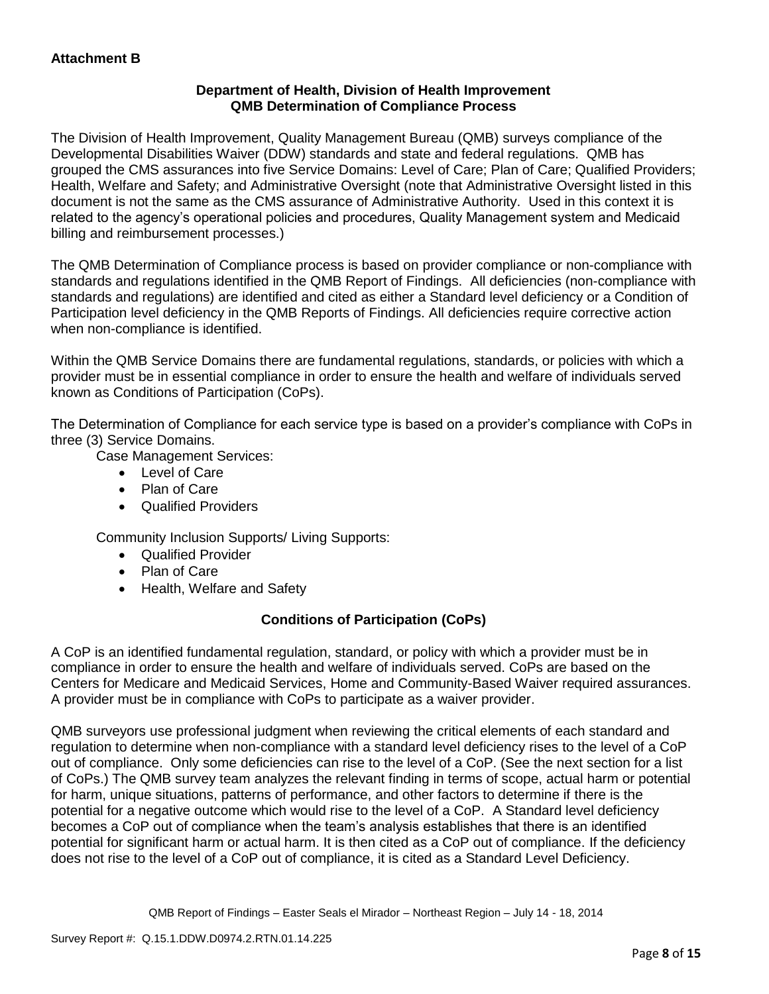## **Department of Health, Division of Health Improvement QMB Determination of Compliance Process**

The Division of Health Improvement, Quality Management Bureau (QMB) surveys compliance of the Developmental Disabilities Waiver (DDW) standards and state and federal regulations. QMB has grouped the CMS assurances into five Service Domains: Level of Care; Plan of Care; Qualified Providers; Health, Welfare and Safety; and Administrative Oversight (note that Administrative Oversight listed in this document is not the same as the CMS assurance of Administrative Authority. Used in this context it is related to the agency's operational policies and procedures, Quality Management system and Medicaid billing and reimbursement processes.)

The QMB Determination of Compliance process is based on provider compliance or non-compliance with standards and regulations identified in the QMB Report of Findings. All deficiencies (non-compliance with standards and regulations) are identified and cited as either a Standard level deficiency or a Condition of Participation level deficiency in the QMB Reports of Findings. All deficiencies require corrective action when non-compliance is identified.

Within the QMB Service Domains there are fundamental regulations, standards, or policies with which a provider must be in essential compliance in order to ensure the health and welfare of individuals served known as Conditions of Participation (CoPs).

The Determination of Compliance for each service type is based on a provider's compliance with CoPs in three (3) Service Domains.

Case Management Services:

- Level of Care
- Plan of Care
- Qualified Providers

Community Inclusion Supports/ Living Supports:

- Qualified Provider
- Plan of Care
- Health, Welfare and Safety

# **Conditions of Participation (CoPs)**

A CoP is an identified fundamental regulation, standard, or policy with which a provider must be in compliance in order to ensure the health and welfare of individuals served. CoPs are based on the Centers for Medicare and Medicaid Services, Home and Community-Based Waiver required assurances. A provider must be in compliance with CoPs to participate as a waiver provider.

QMB surveyors use professional judgment when reviewing the critical elements of each standard and regulation to determine when non-compliance with a standard level deficiency rises to the level of a CoP out of compliance. Only some deficiencies can rise to the level of a CoP. (See the next section for a list of CoPs.) The QMB survey team analyzes the relevant finding in terms of scope, actual harm or potential for harm, unique situations, patterns of performance, and other factors to determine if there is the potential for a negative outcome which would rise to the level of a CoP. A Standard level deficiency becomes a CoP out of compliance when the team's analysis establishes that there is an identified potential for significant harm or actual harm. It is then cited as a CoP out of compliance. If the deficiency does not rise to the level of a CoP out of compliance, it is cited as a Standard Level Deficiency.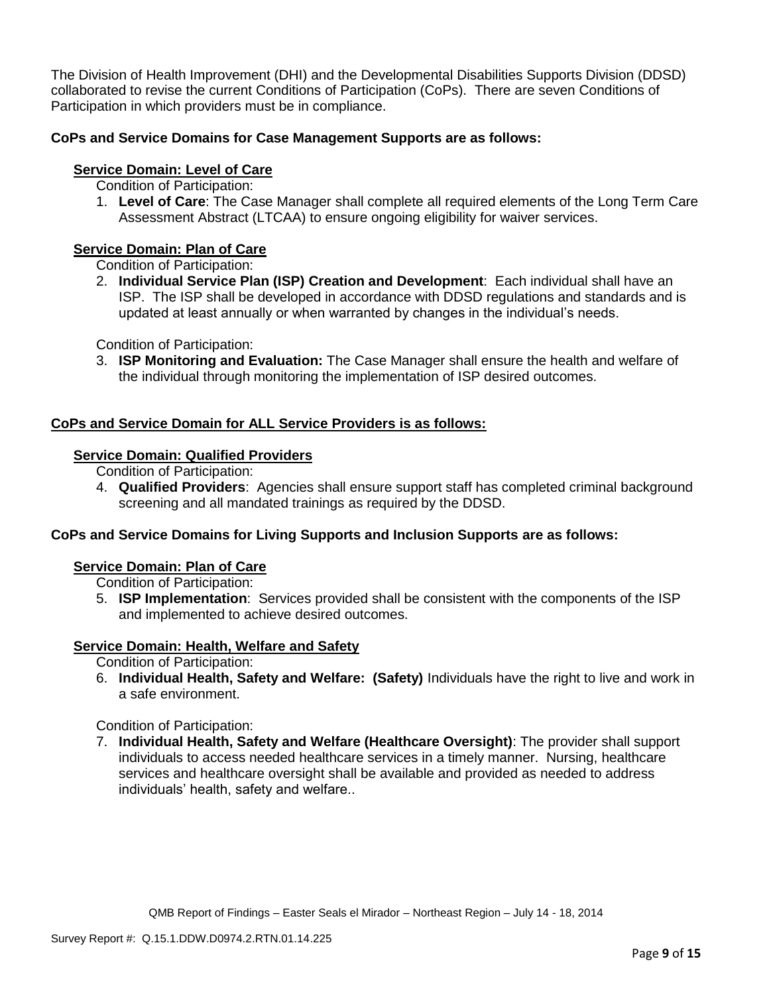The Division of Health Improvement (DHI) and the Developmental Disabilities Supports Division (DDSD) collaborated to revise the current Conditions of Participation (CoPs). There are seven Conditions of Participation in which providers must be in compliance.

# **CoPs and Service Domains for Case Management Supports are as follows:**

## **Service Domain: Level of Care**

- Condition of Participation:
- 1. **Level of Care**: The Case Manager shall complete all required elements of the Long Term Care Assessment Abstract (LTCAA) to ensure ongoing eligibility for waiver services.

# **Service Domain: Plan of Care**

Condition of Participation:

2. **Individual Service Plan (ISP) Creation and Development**: Each individual shall have an ISP. The ISP shall be developed in accordance with DDSD regulations and standards and is updated at least annually or when warranted by changes in the individual's needs.

Condition of Participation:

3. **ISP Monitoring and Evaluation:** The Case Manager shall ensure the health and welfare of the individual through monitoring the implementation of ISP desired outcomes.

## **CoPs and Service Domain for ALL Service Providers is as follows:**

# **Service Domain: Qualified Providers**

- Condition of Participation:
- 4. **Qualified Providers**: Agencies shall ensure support staff has completed criminal background screening and all mandated trainings as required by the DDSD.

## **CoPs and Service Domains for Living Supports and Inclusion Supports are as follows:**

#### **Service Domain: Plan of Care**

Condition of Participation:

5. **ISP Implementation**: Services provided shall be consistent with the components of the ISP and implemented to achieve desired outcomes.

## **Service Domain: Health, Welfare and Safety**

Condition of Participation:

6. **Individual Health, Safety and Welfare: (Safety)** Individuals have the right to live and work in a safe environment.

Condition of Participation:

7. **Individual Health, Safety and Welfare (Healthcare Oversight)**: The provider shall support individuals to access needed healthcare services in a timely manner. Nursing, healthcare services and healthcare oversight shall be available and provided as needed to address individuals' health, safety and welfare..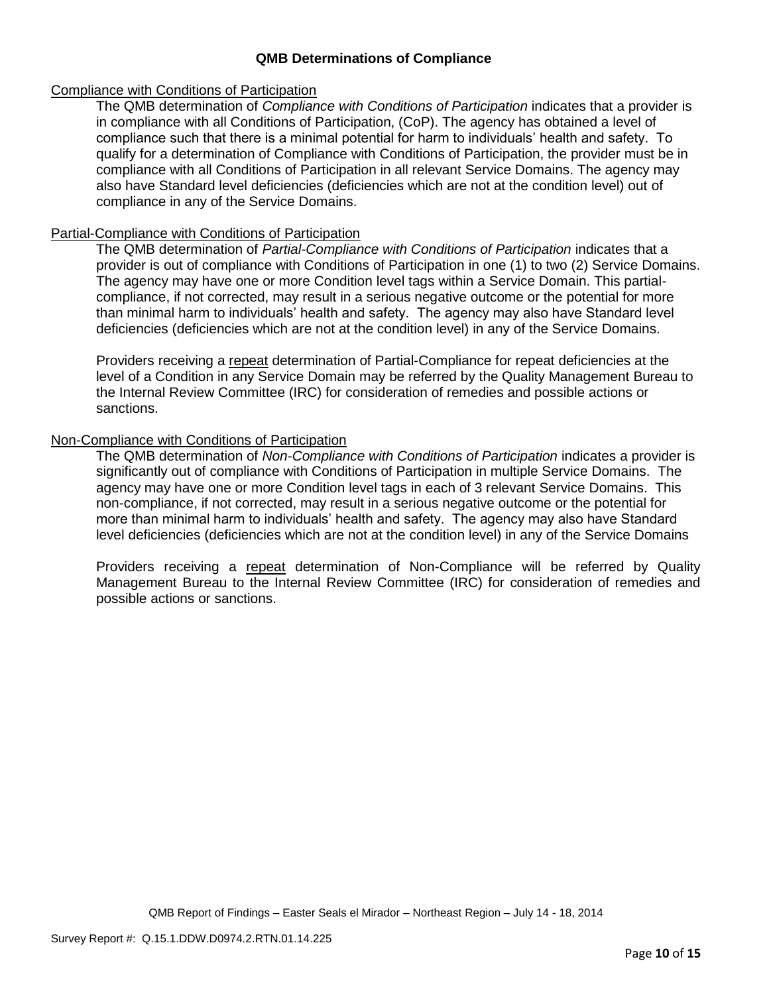### **QMB Determinations of Compliance**

#### Compliance with Conditions of Participation

The QMB determination of *Compliance with Conditions of Participation* indicates that a provider is in compliance with all Conditions of Participation, (CoP). The agency has obtained a level of compliance such that there is a minimal potential for harm to individuals' health and safety. To qualify for a determination of Compliance with Conditions of Participation, the provider must be in compliance with all Conditions of Participation in all relevant Service Domains. The agency may also have Standard level deficiencies (deficiencies which are not at the condition level) out of compliance in any of the Service Domains.

### Partial-Compliance with Conditions of Participation

The QMB determination of *Partial-Compliance with Conditions of Participation* indicates that a provider is out of compliance with Conditions of Participation in one (1) to two (2) Service Domains. The agency may have one or more Condition level tags within a Service Domain. This partialcompliance, if not corrected, may result in a serious negative outcome or the potential for more than minimal harm to individuals' health and safety. The agency may also have Standard level deficiencies (deficiencies which are not at the condition level) in any of the Service Domains.

Providers receiving a repeat determination of Partial-Compliance for repeat deficiencies at the level of a Condition in any Service Domain may be referred by the Quality Management Bureau to the Internal Review Committee (IRC) for consideration of remedies and possible actions or sanctions.

### Non-Compliance with Conditions of Participation

The QMB determination of *Non-Compliance with Conditions of Participation* indicates a provider is significantly out of compliance with Conditions of Participation in multiple Service Domains. The agency may have one or more Condition level tags in each of 3 relevant Service Domains. This non-compliance, if not corrected, may result in a serious negative outcome or the potential for more than minimal harm to individuals' health and safety. The agency may also have Standard level deficiencies (deficiencies which are not at the condition level) in any of the Service Domains

Providers receiving a repeat determination of Non-Compliance will be referred by Quality Management Bureau to the Internal Review Committee (IRC) for consideration of remedies and possible actions or sanctions.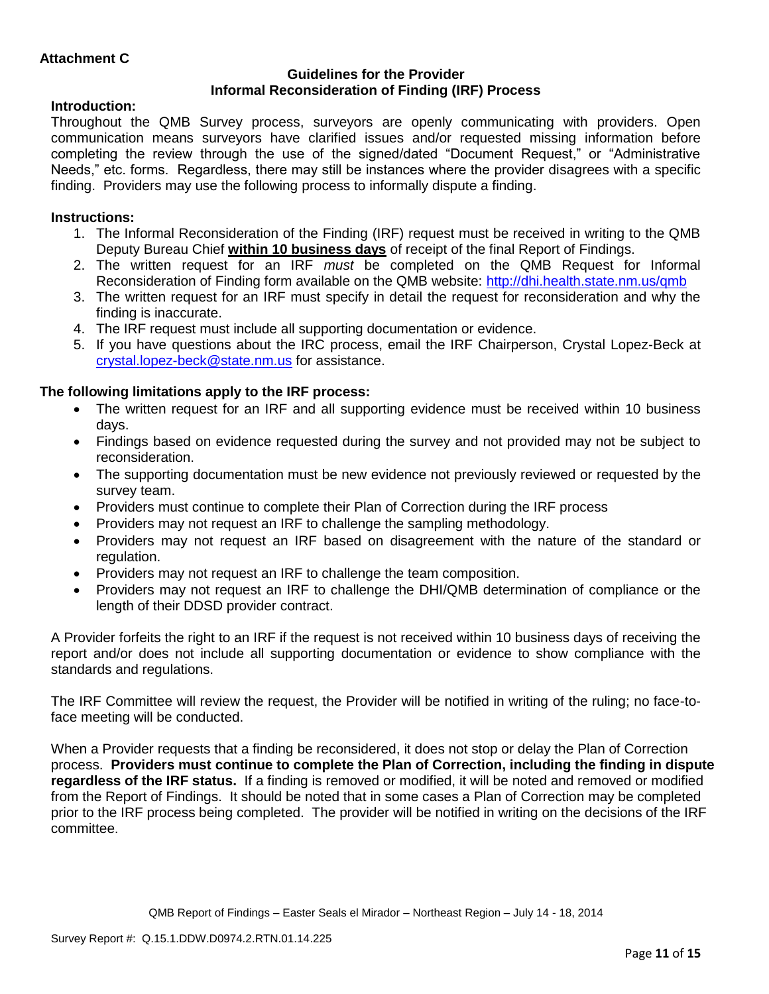### **Guidelines for the Provider Informal Reconsideration of Finding (IRF) Process**

# **Introduction:**

Throughout the QMB Survey process, surveyors are openly communicating with providers. Open communication means surveyors have clarified issues and/or requested missing information before completing the review through the use of the signed/dated "Document Request," or "Administrative Needs," etc. forms. Regardless, there may still be instances where the provider disagrees with a specific finding. Providers may use the following process to informally dispute a finding.

# **Instructions:**

- 1. The Informal Reconsideration of the Finding (IRF) request must be received in writing to the QMB Deputy Bureau Chief **within 10 business days** of receipt of the final Report of Findings.
- 2. The written request for an IRF *must* be completed on the QMB Request for Informal Reconsideration of Finding form available on the QMB website:<http://dhi.health.state.nm.us/qmb>
- 3. The written request for an IRF must specify in detail the request for reconsideration and why the finding is inaccurate.
- 4. The IRF request must include all supporting documentation or evidence.
- 5. If you have questions about the IRC process, email the IRF Chairperson, Crystal Lopez-Beck at [crystal.lopez-beck@state.nm.us](mailto:crystal.lopez-beck@state.nm.us) for assistance.

# **The following limitations apply to the IRF process:**

- The written request for an IRF and all supporting evidence must be received within 10 business days.
- Findings based on evidence requested during the survey and not provided may not be subject to reconsideration.
- The supporting documentation must be new evidence not previously reviewed or requested by the survey team.
- Providers must continue to complete their Plan of Correction during the IRF process
- Providers may not request an IRF to challenge the sampling methodology.
- Providers may not request an IRF based on disagreement with the nature of the standard or regulation.
- Providers may not request an IRF to challenge the team composition.
- Providers may not request an IRF to challenge the DHI/QMB determination of compliance or the length of their DDSD provider contract.

A Provider forfeits the right to an IRF if the request is not received within 10 business days of receiving the report and/or does not include all supporting documentation or evidence to show compliance with the standards and regulations.

The IRF Committee will review the request, the Provider will be notified in writing of the ruling; no face-toface meeting will be conducted.

When a Provider requests that a finding be reconsidered, it does not stop or delay the Plan of Correction process. **Providers must continue to complete the Plan of Correction, including the finding in dispute regardless of the IRF status.** If a finding is removed or modified, it will be noted and removed or modified from the Report of Findings. It should be noted that in some cases a Plan of Correction may be completed prior to the IRF process being completed. The provider will be notified in writing on the decisions of the IRF committee.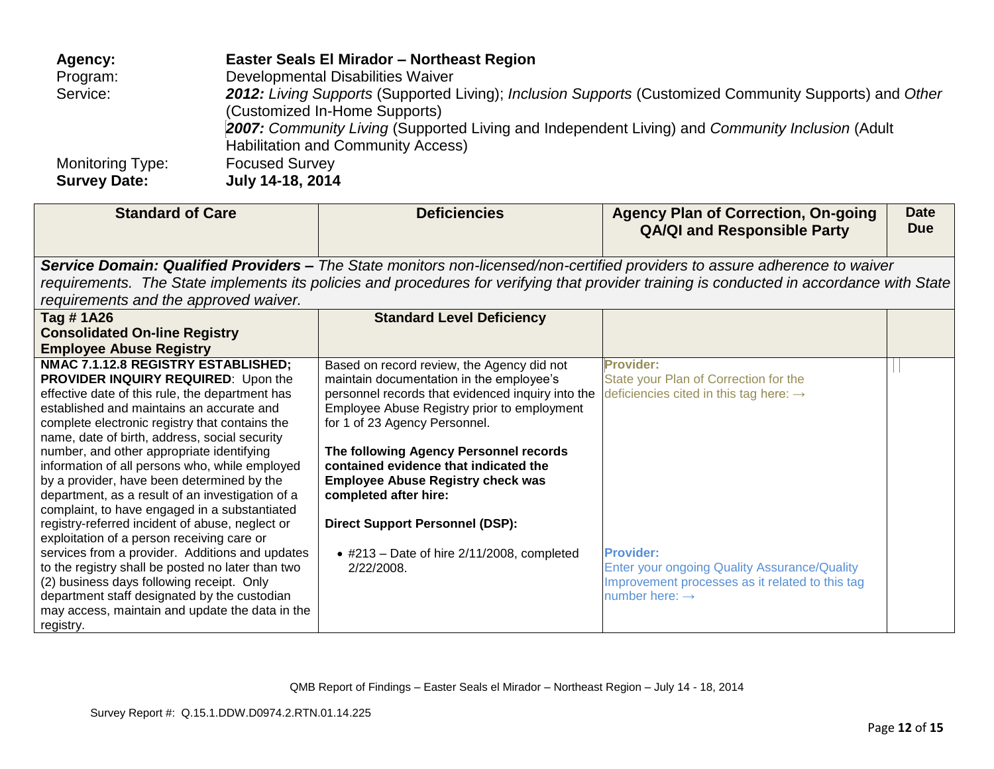| Agency:             | Easter Seals El Mirador - Northeast Region                                                             |
|---------------------|--------------------------------------------------------------------------------------------------------|
| Program:            | Developmental Disabilities Waiver                                                                      |
| Service:            | 2012: Living Supports (Supported Living); Inclusion Supports (Customized Community Supports) and Other |
|                     | (Customized In-Home Supports)                                                                          |
|                     | 2007: Community Living (Supported Living and Independent Living) and Community Inclusion (Adult        |
|                     | Habilitation and Community Access)                                                                     |
| Monitoring Type:    | <b>Focused Survey</b>                                                                                  |
| <b>Survey Date:</b> | July 14-18, 2014                                                                                       |

| <b>Standard of Care</b>                                                                        | <b>Deficiencies</b>                                               | <b>Agency Plan of Correction, On-going</b><br><b>QA/QI and Responsible Party</b>                                                          | <b>Date</b><br><b>Due</b> |
|------------------------------------------------------------------------------------------------|-------------------------------------------------------------------|-------------------------------------------------------------------------------------------------------------------------------------------|---------------------------|
|                                                                                                |                                                                   | Service Domain: Qualified Providers – The State monitors non-licensed/non-certified providers to assure adherence to waiver               |                           |
|                                                                                                |                                                                   | requirements. The State implements its policies and procedures for verifying that provider training is conducted in accordance with State |                           |
| requirements and the approved waiver.                                                          |                                                                   |                                                                                                                                           |                           |
| Tag #1A26                                                                                      | <b>Standard Level Deficiency</b>                                  |                                                                                                                                           |                           |
| <b>Consolidated On-line Registry</b>                                                           |                                                                   |                                                                                                                                           |                           |
| <b>Employee Abuse Registry</b>                                                                 |                                                                   |                                                                                                                                           |                           |
| NMAC 7.1.12.8 REGISTRY ESTABLISHED;                                                            | Based on record review, the Agency did not                        | <b>Provider:</b>                                                                                                                          |                           |
| <b>PROVIDER INQUIRY REQUIRED:</b> Upon the                                                     | maintain documentation in the employee's                          | State your Plan of Correction for the                                                                                                     |                           |
| effective date of this rule, the department has                                                | personnel records that evidenced inquiry into the                 | deficiencies cited in this tag here: $\rightarrow$                                                                                        |                           |
| established and maintains an accurate and                                                      | Employee Abuse Registry prior to employment                       |                                                                                                                                           |                           |
| complete electronic registry that contains the                                                 | for 1 of 23 Agency Personnel.                                     |                                                                                                                                           |                           |
| name, date of birth, address, social security                                                  |                                                                   |                                                                                                                                           |                           |
| number, and other appropriate identifying                                                      | The following Agency Personnel records                            |                                                                                                                                           |                           |
| information of all persons who, while employed                                                 | contained evidence that indicated the                             |                                                                                                                                           |                           |
| by a provider, have been determined by the<br>department, as a result of an investigation of a | <b>Employee Abuse Registry check was</b><br>completed after hire: |                                                                                                                                           |                           |
| complaint, to have engaged in a substantiated                                                  |                                                                   |                                                                                                                                           |                           |
| registry-referred incident of abuse, neglect or                                                | <b>Direct Support Personnel (DSP):</b>                            |                                                                                                                                           |                           |
| exploitation of a person receiving care or                                                     |                                                                   |                                                                                                                                           |                           |
| services from a provider. Additions and updates                                                | $\bullet$ #213 - Date of hire 2/11/2008, completed                | <b>Provider:</b>                                                                                                                          |                           |
| to the registry shall be posted no later than two                                              | 2/22/2008.                                                        | Enter your ongoing Quality Assurance/Quality                                                                                              |                           |
| (2) business days following receipt. Only                                                      |                                                                   | Improvement processes as it related to this tag                                                                                           |                           |
| department staff designated by the custodian                                                   |                                                                   | number here: $\rightarrow$                                                                                                                |                           |
| may access, maintain and update the data in the                                                |                                                                   |                                                                                                                                           |                           |
| registry.                                                                                      |                                                                   |                                                                                                                                           |                           |

QMB Report of Findings – Easter Seals el Mirador – Northeast Region – July 14 - 18, 2014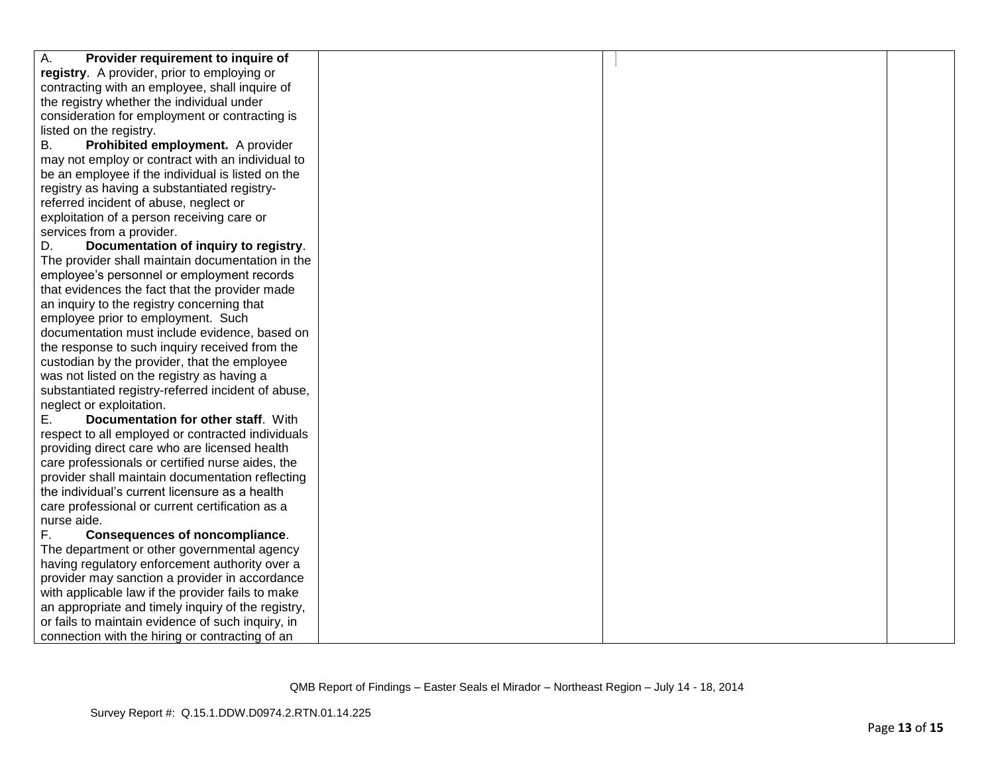| А.<br>Provider requirement to inquire of           |  |  |
|----------------------------------------------------|--|--|
| registry. A provider, prior to employing or        |  |  |
| contracting with an employee, shall inquire of     |  |  |
| the registry whether the individual under          |  |  |
| consideration for employment or contracting is     |  |  |
| listed on the registry.                            |  |  |
| Prohibited employment. A provider<br>В.            |  |  |
| may not employ or contract with an individual to   |  |  |
| be an employee if the individual is listed on the  |  |  |
| registry as having a substantiated registry-       |  |  |
| referred incident of abuse, neglect or             |  |  |
| exploitation of a person receiving care or         |  |  |
| services from a provider.                          |  |  |
| D.<br>Documentation of inquiry to registry.        |  |  |
| The provider shall maintain documentation in the   |  |  |
| employee's personnel or employment records         |  |  |
| that evidences the fact that the provider made     |  |  |
| an inquiry to the registry concerning that         |  |  |
| employee prior to employment. Such                 |  |  |
| documentation must include evidence, based on      |  |  |
| the response to such inquiry received from the     |  |  |
| custodian by the provider, that the employee       |  |  |
| was not listed on the registry as having a         |  |  |
| substantiated registry-referred incident of abuse, |  |  |
| neglect or exploitation.                           |  |  |
| Documentation for other staff. With<br>Е.          |  |  |
| respect to all employed or contracted individuals  |  |  |
| providing direct care who are licensed health      |  |  |
| care professionals or certified nurse aides, the   |  |  |
| provider shall maintain documentation reflecting   |  |  |
| the individual's current licensure as a health     |  |  |
| care professional or current certification as a    |  |  |
| nurse aide.                                        |  |  |
| F.<br><b>Consequences of noncompliance.</b>        |  |  |
| The department or other governmental agency        |  |  |
| having regulatory enforcement authority over a     |  |  |
| provider may sanction a provider in accordance     |  |  |
| with applicable law if the provider fails to make  |  |  |
| an appropriate and timely inquiry of the registry, |  |  |
| or fails to maintain evidence of such inquiry, in  |  |  |
| connection with the hiring or contracting of an    |  |  |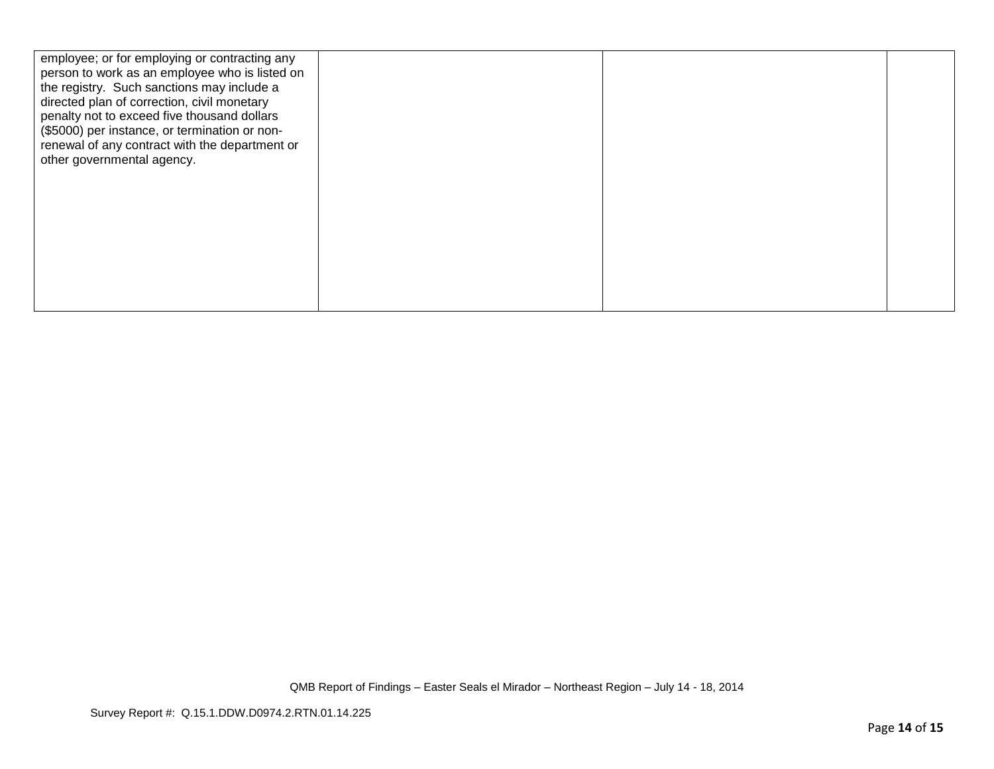| employee; or for employing or contracting any<br>person to work as an employee who is listed on |  |  |
|-------------------------------------------------------------------------------------------------|--|--|
| the registry. Such sanctions may include a                                                      |  |  |
| directed plan of correction, civil monetary                                                     |  |  |
| penalty not to exceed five thousand dollars<br>(\$5000) per instance, or termination or non-    |  |  |
| renewal of any contract with the department or                                                  |  |  |
| other governmental agency.                                                                      |  |  |
|                                                                                                 |  |  |
|                                                                                                 |  |  |
|                                                                                                 |  |  |
|                                                                                                 |  |  |
|                                                                                                 |  |  |
|                                                                                                 |  |  |
|                                                                                                 |  |  |
|                                                                                                 |  |  |